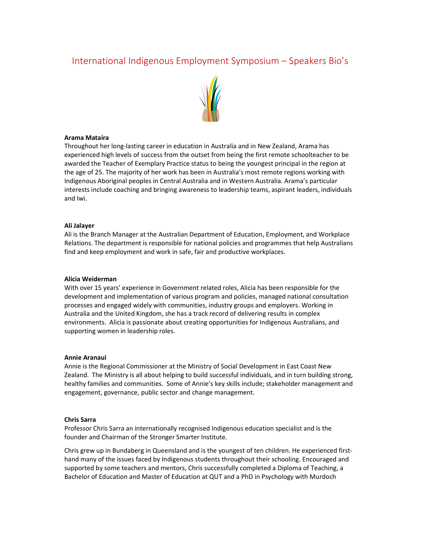# International Indigenous Employment Symposium – Speakers Bio's



# Arama Mataira

Throughout her long-lasting career in education in Australia and in New Zealand, Arama has experienced high levels of success from the outset from being the first remote schoolteacher to be awarded the Teacher of Exemplary Practice status to being the youngest principal in the region at the age of 25. The majority of her work has been in Australia's most remote regions working with Indigenous Aboriginal peoples in Central Australia and in Western Australia. Arama's particular interests include coaching and bringing awareness to leadership teams, aspirant leaders, individuals and Iwi.

### Ali Jalayer

Ali is the Branch Manager at the Australian Department of Education, Employment, and Workplace Relations. The department is responsible for national policies and programmes that help Australians find and keep employment and work in safe, fair and productive workplaces.

### Alicia Weiderman

With over 15 years' experience in Government related roles, Alicia has been responsible for the development and implementation of various program and policies, managed national consultation processes and engaged widely with communities, industry groups and employers. Working in Australia and the United Kingdom, she has a track record of delivering results in complex environments. Alicia is passionate about creating opportunities for Indigenous Australians, and supporting women in leadership roles.

### Annie Aranaui

Annie is the Regional Commissioner at the Ministry of Social Development in East Coast New Zealand. The Ministry is all about helping to build successful individuals, and in turn building strong, healthy families and communities. Some of Annie's key skills include; stakeholder management and engagement, governance, public sector and change management.

### Chris Sarra

Professor Chris Sarra an internationally recognised Indigenous education specialist and is the founder and Chairman of the Stronger Smarter Institute.

Chris grew up in Bundaberg in Queensland and is the youngest of ten children. He experienced firsthand many of the issues faced by Indigenous students throughout their schooling. Encouraged and supported by some teachers and mentors, Chris successfully completed a Diploma of Teaching, a Bachelor of Education and Master of Education at QUT and a PhD in Psychology with Murdoch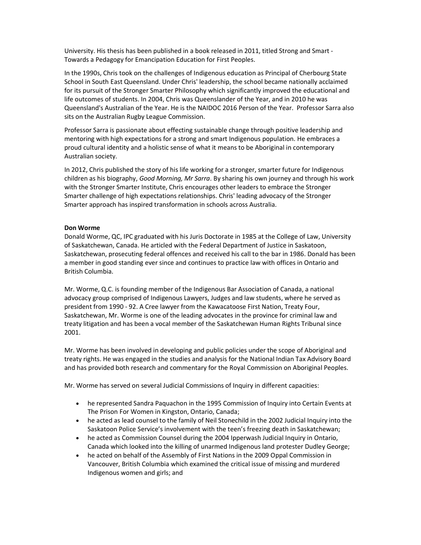University. His thesis has been published in a book released in 2011, titled Strong and Smart - Towards a Pedagogy for Emancipation Education for First Peoples.

In the 1990s, Chris took on the challenges of Indigenous education as Principal of Cherbourg State School in South East Queensland. Under Chris' leadership, the school became nationally acclaimed for its pursuit of the Stronger Smarter Philosophy which significantly improved the educational and life outcomes of students. In 2004, Chris was Queenslander of the Year, and in 2010 he was Queensland's Australian of the Year. He is the NAIDOC 2016 Person of the Year. Professor Sarra also sits on the Australian Rugby League Commission.

Professor Sarra is passionate about effecting sustainable change through positive leadership and mentoring with high expectations for a strong and smart Indigenous population. He embraces a proud cultural identity and a holistic sense of what it means to be Aboriginal in contemporary Australian society.

In 2012, Chris published the story of his life working for a stronger, smarter future for Indigenous children as his biography, Good Morning, Mr Sarra. By sharing his own journey and through his work with the Stronger Smarter Institute, Chris encourages other leaders to embrace the Stronger Smarter challenge of high expectations relationships. Chris' leading advocacy of the Stronger Smarter approach has inspired transformation in schools across Australia.

# Don Worme

Donald Worme, QC, IPC graduated with his Juris Doctorate in 1985 at the College of Law, University of Saskatchewan, Canada. He articled with the Federal Department of Justice in Saskatoon, Saskatchewan, prosecuting federal offences and received his call to the bar in 1986. Donald has been a member in good standing ever since and continues to practice law with offices in Ontario and British Columbia.

Mr. Worme, Q.C. is founding member of the Indigenous Bar Association of Canada, a national advocacy group comprised of Indigenous Lawyers, Judges and law students, where he served as president from 1990 - 92. A Cree lawyer from the Kawacatoose First Nation, Treaty Four, Saskatchewan, Mr. Worme is one of the leading advocates in the province for criminal law and treaty litigation and has been a vocal member of the Saskatchewan Human Rights Tribunal since 2001.

Mr. Worme has been involved in developing and public policies under the scope of Aboriginal and treaty rights. He was engaged in the studies and analysis for the National Indian Tax Advisory Board and has provided both research and commentary for the Royal Commission on Aboriginal Peoples.

Mr. Worme has served on several Judicial Commissions of Inquiry in different capacities:

- he represented Sandra Paquachon in the 1995 Commission of Inquiry into Certain Events at The Prison For Women in Kingston, Ontario, Canada;
- he acted as lead counsel to the family of Neil Stonechild in the 2002 Judicial Inquiry into the Saskatoon Police Service's involvement with the teen's freezing death in Saskatchewan;
- he acted as Commission Counsel during the 2004 Ipperwash Judicial Inquiry in Ontario, Canada which looked into the killing of unarmed Indigenous land protester Dudley George;
- he acted on behalf of the Assembly of First Nations in the 2009 Oppal Commission in Vancouver, British Columbia which examined the critical issue of missing and murdered Indigenous women and girls; and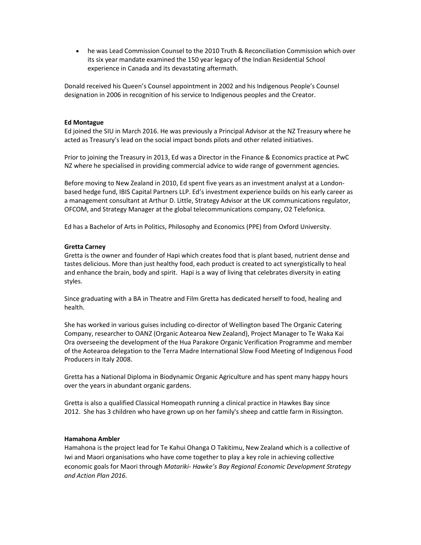he was Lead Commission Counsel to the 2010 Truth & Reconciliation Commission which over its six year mandate examined the 150 year legacy of the Indian Residential School experience in Canada and its devastating aftermath.

Donald received his Queen's Counsel appointment in 2002 and his Indigenous People's Counsel designation in 2006 in recognition of his service to Indigenous peoples and the Creator.

### Ed Montague

Ed joined the SIU in March 2016. He was previously a Principal Advisor at the NZ Treasury where he acted as Treasury's lead on the social impact bonds pilots and other related initiatives.

Prior to joining the Treasury in 2013, Ed was a Director in the Finance & Economics practice at PwC NZ where he specialised in providing commercial advice to wide range of government agencies.

Before moving to New Zealand in 2010, Ed spent five years as an investment analyst at a Londonbased hedge fund, IBIS Capital Partners LLP. Ed's investment experience builds on his early career as a management consultant at Arthur D. Little, Strategy Advisor at the UK communications regulator, OFCOM, and Strategy Manager at the global telecommunications company, O2 Telefonica.

Ed has a Bachelor of Arts in Politics, Philosophy and Economics (PPE) from Oxford University.

### Gretta Carney

Gretta is the owner and founder of Hapi which creates food that is plant based, nutrient dense and tastes delicious. More than just healthy food, each product is created to act synergistically to heal and enhance the brain, body and spirit. Hapi is a way of living that celebrates diversity in eating styles.

Since graduating with a BA in Theatre and Film Gretta has dedicated herself to food, healing and health.

She has worked in various guises including co-director of Wellington based The Organic Catering Company, researcher to OANZ (Organic Aotearoa New Zealand), Project Manager to Te Waka Kai Ora overseeing the development of the Hua Parakore Organic Verification Programme and member of the Aotearoa delegation to the Terra Madre International Slow Food Meeting of Indigenous Food Producers in Italy 2008.

Gretta has a National Diploma in Biodynamic Organic Agriculture and has spent many happy hours over the years in abundant organic gardens.

Gretta is also a qualified Classical Homeopath running a clinical practice in Hawkes Bay since 2012. She has 3 children who have grown up on her family's sheep and cattle farm in Rissington.

### Hamahona Ambler

Hamahona is the project lead for Te Kahui Ohanga O Takitimu, New Zealand which is a collective of Iwi and Maori organisations who have come together to play a key role in achieving collective economic goals for Maori through Matariki- Hawke's Bay Regional Economic Development Strategy and Action Plan 2016.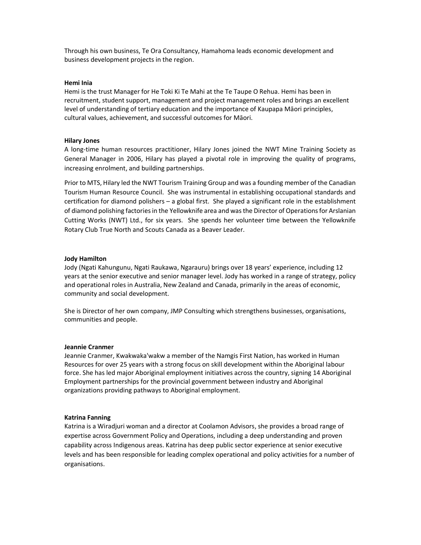Through his own business, Te Ora Consultancy, Hamahoma leads economic development and business development projects in the region.

### Hemi Inia

Hemi is the trust Manager for He Toki Ki Te Mahi at the Te Taupe O Rehua. Hemi has been in recruitment, student support, management and project management roles and brings an excellent level of understanding of tertiary education and the importance of Kaupapa Māori principles, cultural values, achievement, and successful outcomes for Māori.

### Hilary Jones

A long-time human resources practitioner, Hilary Jones joined the NWT Mine Training Society as General Manager in 2006, Hilary has played a pivotal role in improving the quality of programs, increasing enrolment, and building partnerships.

Prior to MTS, Hilary led the NWT Tourism Training Group and was a founding member of the Canadian Tourism Human Resource Council. She was instrumental in establishing occupational standards and certification for diamond polishers – a global first. She played a significant role in the establishment of diamond polishing factories in the Yellowknife area and was the Director of Operations for Arslanian Cutting Works (NWT) Ltd., for six years. She spends her volunteer time between the Yellowknife Rotary Club True North and Scouts Canada as a Beaver Leader.

### Jody Hamilton

Jody (Ngati Kahungunu, Ngati Raukawa, Ngarauru) brings over 18 years' experience, including 12 years at the senior executive and senior manager level. Jody has worked in a range of strategy, policy and operational roles in Australia, New Zealand and Canada, primarily in the areas of economic, community and social development.

She is Director of her own company, JMP Consulting which strengthens businesses, organisations, communities and people.

### Jeannie Cranmer

Jeannie Cranmer, Kwakwaka'wakw a member of the Namgis First Nation, has worked in Human Resources for over 25 years with a strong focus on skill development within the Aboriginal labour force. She has led major Aboriginal employment initiatives across the country, signing 14 Aboriginal Employment partnerships for the provincial government between industry and Aboriginal organizations providing pathways to Aboriginal employment.

### Katrina Fanning

Katrina is a Wiradjuri woman and a director at Coolamon Advisors, she provides a broad range of expertise across Government Policy and Operations, including a deep understanding and proven capability across Indigenous areas. Katrina has deep public sector experience at senior executive levels and has been responsible for leading complex operational and policy activities for a number of organisations.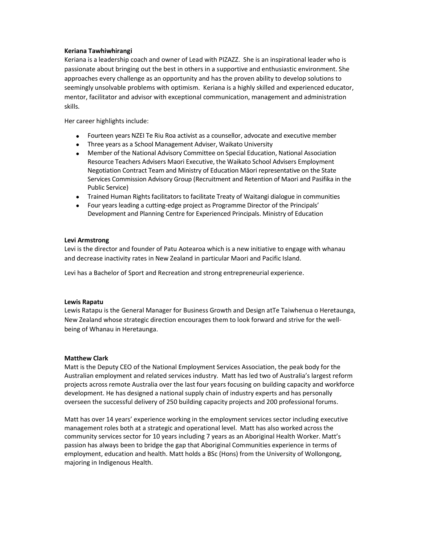# Keriana Tawhiwhirangi

Keriana is a leadership coach and owner of Lead with PIZAZZ. She is an inspirational leader who is passionate about bringing out the best in others in a supportive and enthusiastic environment. She approaches every challenge as an opportunity and has the proven ability to develop solutions to seemingly unsolvable problems with optimism. Keriana is a highly skilled and experienced educator, mentor, facilitator and advisor with exceptional communication, management and administration skills.

Her career highlights include:

- Fourteen years NZEI Te Riu Roa activist as a counsellor, advocate and executive member
- Three years as a School Management Adviser, Waikato University
- Member of the National Advisory Committee on Special Education, National Association Resource Teachers Advisers Maori Executive, the Waikato School Advisers Employment Negotiation Contract Team and Ministry of Education Māori representative on the State Services Commission Advisory Group (Recruitment and Retention of Maori and Pasifika in the Public Service)
- Trained Human Rights facilitators to facilitate Treaty of Waitangi dialogue in communities
- Four years leading a cutting-edge project as Programme Director of the Principals' Development and Planning Centre for Experienced Principals. Ministry of Education

# Levi Armstrong

Levi is the director and founder of Patu Aotearoa which is a new initiative to engage with whanau and decrease inactivity rates in New Zealand in particular Maori and Pacific Island.

Levi has a Bachelor of Sport and Recreation and strong entrepreneurial experience.

# Lewis Rapatu

Lewis Ratapu is the General Manager for Business Growth and Design atTe Taiwhenua o Heretaunga, New Zealand whose strategic direction encourages them to look forward and strive for the wellbeing of Whanau in Heretaunga.

# Matthew Clark

Matt is the Deputy CEO of the National Employment Services Association, the peak body for the Australian employment and related services industry. Matt has led two of Australia's largest reform projects across remote Australia over the last four years focusing on building capacity and workforce development. He has designed a national supply chain of industry experts and has personally overseen the successful delivery of 250 building capacity projects and 200 professional forums.

Matt has over 14 years' experience working in the employment services sector including executive management roles both at a strategic and operational level. Matt has also worked across the community services sector for 10 years including 7 years as an Aboriginal Health Worker. Matt's passion has always been to bridge the gap that Aboriginal Communities experience in terms of employment, education and health. Matt holds a BSc (Hons) from the University of Wollongong, majoring in Indigenous Health.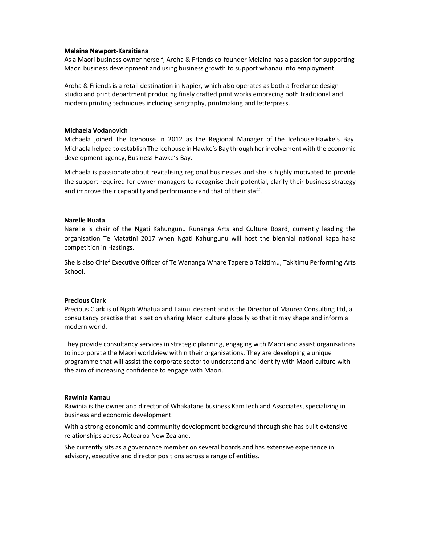### Melaina Newport-Karaitiana

As a Maori business owner herself, Aroha & Friends co-founder Melaina has a passion for supporting Maori business development and using business growth to support whanau into employment.

Aroha & Friends is a retail destination in Napier, which also operates as both a freelance design studio and print department producing finely crafted print works embracing both traditional and modern printing techniques including serigraphy, printmaking and letterpress.

#### Michaela Vodanovich

Michaela joined The Icehouse in 2012 as the Regional Manager of The Icehouse Hawke's Bay. Michaela helped to establish The Icehouse in Hawke's Bay through her involvement with the economic development agency, Business Hawke's Bay.

Michaela is passionate about revitalising regional businesses and she is highly motivated to provide the support required for owner managers to recognise their potential, clarify their business strategy and improve their capability and performance and that of their staff.

### Narelle Huata

Narelle is chair of the Ngati Kahungunu Runanga Arts and Culture Board, currently leading the organisation Te Matatini 2017 when Ngati Kahungunu will host the biennial national kapa haka competition in Hastings.

She is also Chief Executive Officer of Te Wananga Whare Tapere o Takitimu, Takitimu Performing Arts School.

#### Precious Clark

Precious Clark is of Ngati Whatua and Tainui descent and is the Director of Maurea Consulting Ltd, a consultancy practise that is set on sharing Maori culture globally so that it may shape and inform a modern world.

They provide consultancy services in strategic planning, engaging with Maori and assist organisations to incorporate the Maori worldview within their organisations. They are developing a unique programme that will assist the corporate sector to understand and identify with Maori culture with the aim of increasing confidence to engage with Maori.

#### Rawinia Kamau

Rawinia is the owner and director of Whakatane business KamTech and Associates, specializing in business and economic development.

With a strong economic and community development background through she has built extensive relationships across Aotearoa New Zealand.

She currently sits as a governance member on several boards and has extensive experience in advisory, executive and director positions across a range of entities.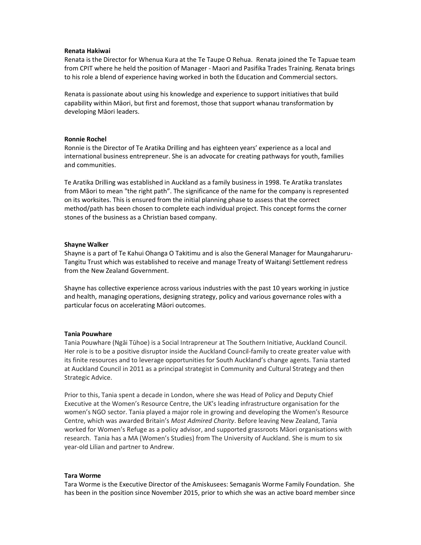#### Renata Hakiwai

Renata is the Director for Whenua Kura at the Te Taupe O Rehua. Renata joined the Te Tapuae team from CPIT where he held the position of Manager - Maori and Pasifika Trades Training. Renata brings to his role a blend of experience having worked in both the Education and Commercial sectors.

Renata is passionate about using his knowledge and experience to support initiatives that build capability within Māori, but first and foremost, those that support whanau transformation by developing Māori leaders.

#### Ronnie Rochel

Ronnie is the Director of Te Aratika Drilling and has eighteen years' experience as a local and international business entrepreneur. She is an advocate for creating pathways for youth, families and communities.

Te Aratika Drilling was established in Auckland as a family business in 1998. Te Aratika translates from Mãori to mean "the right path". The significance of the name for the company is represented on its worksites. This is ensured from the initial planning phase to assess that the correct method/path has been chosen to complete each individual project. This concept forms the corner stones of the business as a Christian based company.

#### Shayne Walker

Shayne is a part of Te Kahui Ohanga O Takitimu and is also the General Manager for Maungaharuru-Tangitu Trust which was established to receive and manage Treaty of Waitangi Settlement redress from the New Zealand Government.

Shayne has collective experience across various industries with the past 10 years working in justice and health, managing operations, designing strategy, policy and various governance roles with a particular focus on accelerating Māori outcomes.

#### Tania Pouwhare

Tania Pouwhare (Ngāi Tūhoe) is a Social Intrapreneur at The Southern Initiative, Auckland Council. Her role is to be a positive disruptor inside the Auckland Council-family to create greater value with its finite resources and to leverage opportunities for South Auckland's change agents. Tania started at Auckland Council in 2011 as a principal strategist in Community and Cultural Strategy and then Strategic Advice.

Prior to this, Tania spent a decade in London, where she was Head of Policy and Deputy Chief Executive at the Women's Resource Centre, the UK's leading infrastructure organisation for the women's NGO sector. Tania played a major role in growing and developing the Women's Resource Centre, which was awarded Britain's Most Admired Charity. Before leaving New Zealand, Tania worked for Women's Refuge as a policy advisor, and supported grassroots Māori organisations with research. Tania has a MA (Women's Studies) from The University of Auckland. She is mum to six year-old Lilian and partner to Andrew.

#### Tara Worme

Tara Worme is the Executive Director of the Amiskusees: Semaganis Worme Family Foundation. She has been in the position since November 2015, prior to which she was an active board member since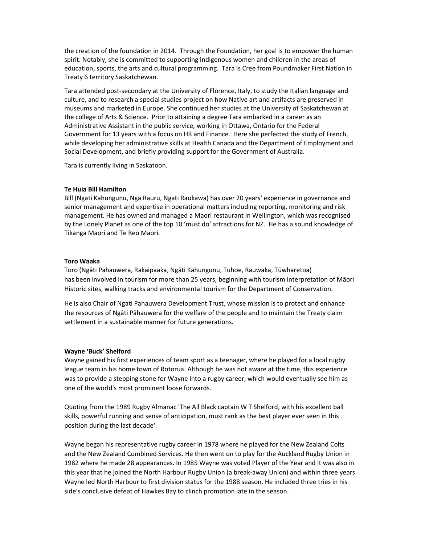the creation of the foundation in 2014. Through the Foundation, her goal is to empower the human spirit. Notably, she is committed to supporting indigenous women and children in the areas of education, sports, the arts and cultural programming. Tara is Cree from Poundmaker First Nation in Treaty 6 territory Saskatchewan.

Tara attended post-secondary at the University of Florence, Italy, to study the Italian language and culture, and to research a special studies project on how Native art and artifacts are preserved in museums and marketed in Europe. She continued her studies at the University of Saskatchewan at the college of Arts & Science. Prior to attaining a degree Tara embarked in a career as an Administrative Assistant in the public service, working in Ottawa, Ontario for the Federal Government for 13 years with a focus on HR and Finance. Here she perfected the study of French, while developing her administrative skills at Health Canada and the Department of Employment and Social Development, and briefly providing support for the Government of Australia.

Tara is currently living in Saskatoon.

### Te Huia Bill Hamilton

Bill (Ngati Kahungunu, Nga Rauru, Ngati Raukawa) has over 20 years' experience in governance and senior management and expertise in operational matters including reporting, monitoring and risk management. He has owned and managed a Maori restaurant in Wellington, which was recognised by the Lonely Planet as one of the top 10 'must do' attractions for NZ. He has a sound knowledge of Tikanga Maori and Te Reo Maori.

#### Toro Waaka

Toro (Ngāti Pahauwera, Rakaipaaka, Ngāti Kahungunu, Tuhoe, Rauwaka, Tūwharetoa) has been involved in tourism for more than 25 years, beginning with tourism interpretation of Māori Historic sites, walking tracks and environmental tourism for the Department of Conservation.

He is also Chair of Ngati Pahauwera Development Trust, whose mission is to protect and enhance the resources of Ngāti Pāhauwera for the welfare of the people and to maintain the Treaty claim settlement in a sustainable manner for future generations.

### Wayne 'Buck' Shelford

Wayne gained his first experiences of team sport as a teenager, where he played for a local rugby league team in his home town of Rotorua. Although he was not aware at the time, this experience was to provide a stepping stone for Wayne into a rugby career, which would eventually see him as one of the world's most prominent loose forwards.

Quoting from the 1989 Rugby Almanac 'The All Black captain W T Shelford, with his excellent ball skills, powerful running and sense of anticipation, must rank as the best player ever seen in this position during the last decade'.

Wayne began his representative rugby career in 1978 where he played for the New Zealand Colts and the New Zealand Combined Services. He then went on to play for the Auckland Rugby Union in 1982 where he made 28 appearances. In 1985 Wayne was voted Player of the Year and it was also in this year that he joined the North Harbour Rugby Union (a break-away Union) and within three years Wayne led North Harbour to first division status for the 1988 season. He included three tries in his side's conclusive defeat of Hawkes Bay to clinch promotion late in the season.